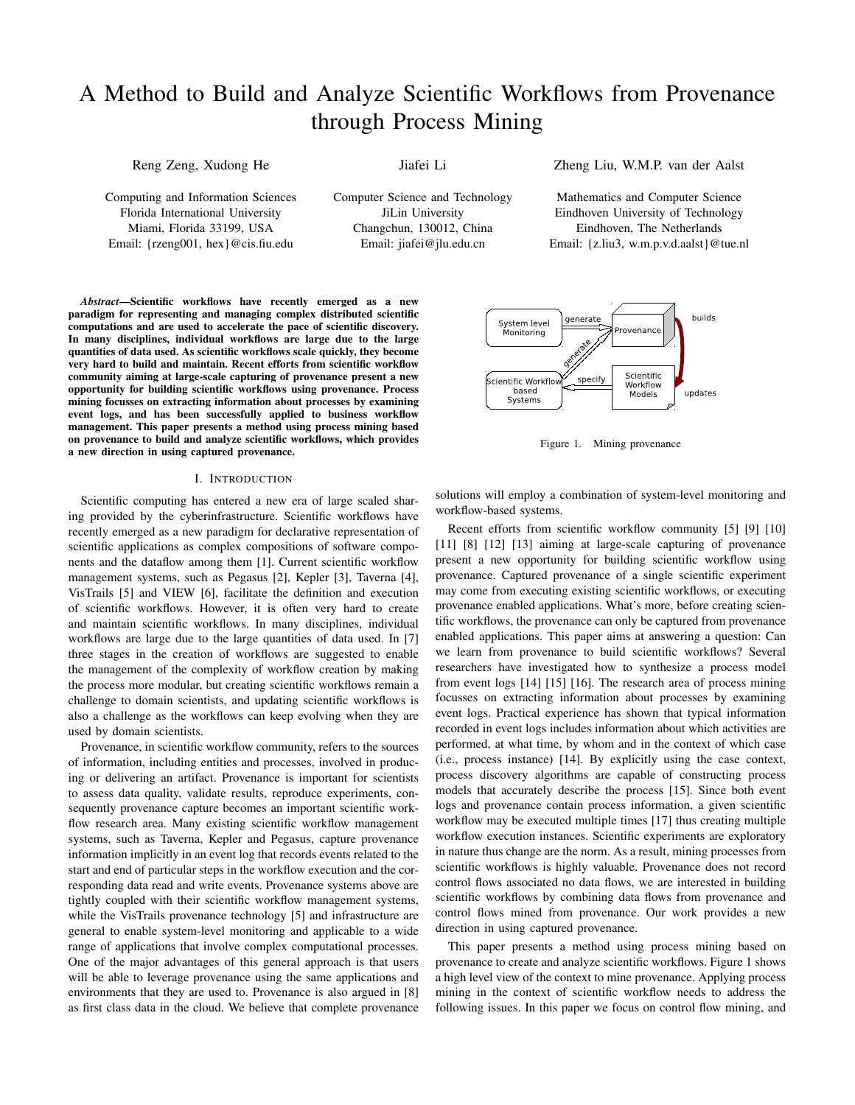# A Method to Build and Analyze Scientific Workflows from Provenance through Process Mining

Reng Zeng, Xudong He

Jiafei Li

Computing and Information Sciences Florida International University Miami, Florida 33199, USA Email: {rzeng001, hex}@cis.fiu.edu

Computer Science and Technology JiLin University Changchun, 130012, China Email: jiafei@jlu.edu.cn

*Abstract*—Scientific workflows have recently emerged as a new paradigm for representing and managing complex distributed scientific computations and are used to accelerate the pace of scientific discovery. In many disciplines, individual workflows are large due to the large quantities of data used. As scientific workflows scale quickly, they become very hard to build and maintain. Recent efforts from scientific workflow community aiming at large-scale capturing of provenance present a new opportunity for building scientific workflows using provenance. Process mining focusses on extracting information about processes by examining event logs, and has been successfully applied to business workflow management. This paper presents a method using process mining based on provenance to build and analyze scientific workflows, which provides a new direction in using captured provenance.

#### I. INTRODUCTION

Scientific computing has entered a new era of large scaled sharing provided by the cyberinfrastructure. Scientific workflows have recently emerged as a new paradigm for declarative representation of scientific applications as complex compositions of software components and the dataflow among them [1]. Current scientific workflow management systems, such as Pegasus [2], Kepler [3], Taverna [4], VisTrails [5] and VIEW [6], facilitate the definition and execution of scientific workflows. However, it is often very hard to create and maintain scientific workflows. In many disciplines, individual workflows are large due to the large quantities of data used. In [7] three stages in the creation of workflows are suggested to enable the management of the complexity of workflow creation by making the process more modular, but creating scientific workflows remain a challenge to domain scientists, and updating scientific workflows is also a challenge as the workflows can keep evolving when they are used by domain scientists.

Provenance, in scientific workflow community, refers to the sources of information, including entities and processes, involved in producing or delivering an artifact. Provenance is important for scientists to assess data quality, validate results, reproduce experiments, consequently provenance capture becomes an important scientific workflow research area. Many existing scientific workflow management systems, such as Taverna, Kepler and Pegasus, capture provenance information implicitly in an event log that records events related to the start and end of particular steps in the workflow execution and the corresponding data read and write events. Provenance systems above are tightly coupled with their scientific workflow management systems, while the VisTrails provenance technology [5] and infrastructure are general to enable system-level monitoring and applicable to a wide range of applications that involve complex computational processes. One of the major advantages of this general approach is that users will be able to leverage provenance using the same applications and environments that they are used to. Provenance is also argued in [8] as first class data in the cloud. We believe that complete provenance

Zheng Liu, W.M.P. van der Aalst

Mathematics and Computer Science Eindhoven University of Technology Eindhoven, The Netherlands Email: {z.liu3, w.m.p.v.d.aalst}@tue.nl



Figure 1. Mining provenance

solutions will employ a combination of system-level monitoring and workflow-based systems.

Recent efforts from scientific workflow community [5] [9] [10] [11] [8] [12] [13] aiming at large-scale capturing of provenance present a new opportunity for building scientific workflow using provenance. Captured provenance of a single scientific experiment may come from executing existing scientific workflows, or executing provenance enabled applications. What's more, before creating scientific workflows, the provenance can only be captured from provenance enabled applications. This paper aims at answering a question: Can we learn from provenance to build scientific workflows? Several researchers have investigated how to synthesize a process model from event logs [14] [15] [16]. The research area of process mining focusses on extracting information about processes by examining event logs. Practical experience has shown that typical information recorded in event logs includes information about which activities are performed, at what time, by whom and in the context of which case (i.e., process instance) [14]. By explicitly using the case context, process discovery algorithms are capable of constructing process models that accurately describe the process [15]. Since both event logs and provenance contain process information, a given scientific workflow may be executed multiple times [17] thus creating multiple workflow execution instances. Scientific experiments are exploratory in nature thus change are the norm. As a result, mining processes from scientific workflows is highly valuable. Provenance does not record control flows associated no data flows, we are interested in building scientific workflows by combining data flows from provenance and control flows mined from provenance. Our work provides a new direction in using captured provenance.

This paper presents a method using process mining based on provenance to create and analyze scientific workflows. Figure 1 shows a high level view of the context to mine provenance. Applying process mining in the context of scientific workflow needs to address the following issues. In this paper we focus on control flow mining, and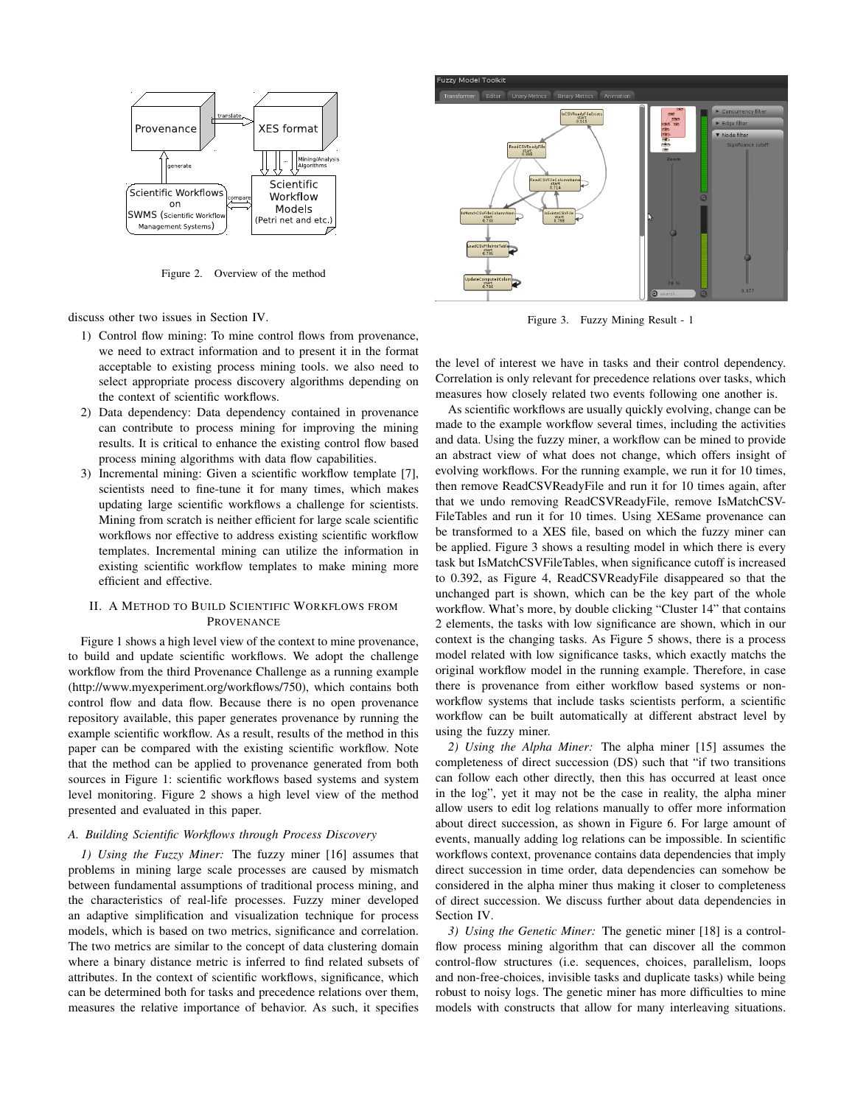

Figure 2. Overview of the method

discuss other two issues in Section IV.

- 1) Control flow mining: To mine control flows from provenance, we need to extract information and to present it in the format acceptable to existing process mining tools. we also need to select appropriate process discovery algorithms depending on the context of scientific workflows.
- 2) Data dependency: Data dependency contained in provenance can contribute to process mining for improving the mining results. It is critical to enhance the existing control flow based process mining algorithms with data flow capabilities.
- 3) Incremental mining: Given a scientific workflow template [7], scientists need to fine-tune it for many times, which makes updating large scientific workflows a challenge for scientists. Mining from scratch is neither efficient for large scale scientific workflows nor effective to address existing scientific workflow templates. Incremental mining can utilize the information in existing scientific workflow templates to make mining more efficient and effective.

# II. A METHOD TO BUILD SCIENTIFIC WORKFLOWS FROM PROVENANCE

Figure 1 shows a high level view of the context to mine provenance, to build and update scientific workflows. We adopt the challenge workflow from the third Provenance Challenge as a running example (http://www.myexperiment.org/workflows/750), which contains both control flow and data flow. Because there is no open provenance repository available, this paper generates provenance by running the example scientific workflow. As a result, results of the method in this paper can be compared with the existing scientific workflow. Note that the method can be applied to provenance generated from both sources in Figure 1: scientific workflows based systems and system level monitoring. Figure 2 shows a high level view of the method presented and evaluated in this paper.

## *A. Building Scientific Workflows through Process Discovery*

*1) Using the Fuzzy Miner:* The fuzzy miner [16] assumes that problems in mining large scale processes are caused by mismatch between fundamental assumptions of traditional process mining, and the characteristics of real-life processes. Fuzzy miner developed an adaptive simplification and visualization technique for process models, which is based on two metrics, significance and correlation. The two metrics are similar to the concept of data clustering domain where a binary distance metric is inferred to find related subsets of attributes. In the context of scientific workflows, significance, which can be determined both for tasks and precedence relations over them, measures the relative importance of behavior. As such, it specifies



Figure 3. Fuzzy Mining Result - 1

the level of interest we have in tasks and their control dependency. Correlation is only relevant for precedence relations over tasks, which measures how closely related two events following one another is.

As scientific workflows are usually quickly evolving, change can be made to the example workflow several times, including the activities and data. Using the fuzzy miner, a workflow can be mined to provide an abstract view of what does not change, which offers insight of evolving workflows. For the running example, we run it for 10 times, then remove ReadCSVReadyFile and run it for 10 times again, after that we undo removing ReadCSVReadyFile, remove IsMatchCSV-FileTables and run it for 10 times. Using XESame provenance can be transformed to a XES file, based on which the fuzzy miner can be applied. Figure 3 shows a resulting model in which there is every task but IsMatchCSVFileTables, when significance cutoff is increased to 0.392, as Figure 4, ReadCSVReadyFile disappeared so that the unchanged part is shown, which can be the key part of the whole workflow. What's more, by double clicking "Cluster 14" that contains 2 elements, the tasks with low significance are shown, which in our context is the changing tasks. As Figure 5 shows, there is a process model related with low significance tasks, which exactly matchs the original workflow model in the running example. Therefore, in case there is provenance from either workflow based systems or nonworkflow systems that include tasks scientists perform, a scientific workflow can be built automatically at different abstract level by using the fuzzy miner.

*2) Using the Alpha Miner:* The alpha miner [15] assumes the completeness of direct succession (DS) such that "if two transitions can follow each other directly, then this has occurred at least once in the log", yet it may not be the case in reality, the alpha miner allow users to edit log relations manually to offer more information about direct succession, as shown in Figure 6. For large amount of events, manually adding log relations can be impossible. In scientific workflows context, provenance contains data dependencies that imply direct succession in time order, data dependencies can somehow be considered in the alpha miner thus making it closer to completeness of direct succession. We discuss further about data dependencies in Section IV.

*3) Using the Genetic Miner:* The genetic miner [18] is a controlflow process mining algorithm that can discover all the common control-flow structures (i.e. sequences, choices, parallelism, loops and non-free-choices, invisible tasks and duplicate tasks) while being robust to noisy logs. The genetic miner has more difficulties to mine models with constructs that allow for many interleaving situations.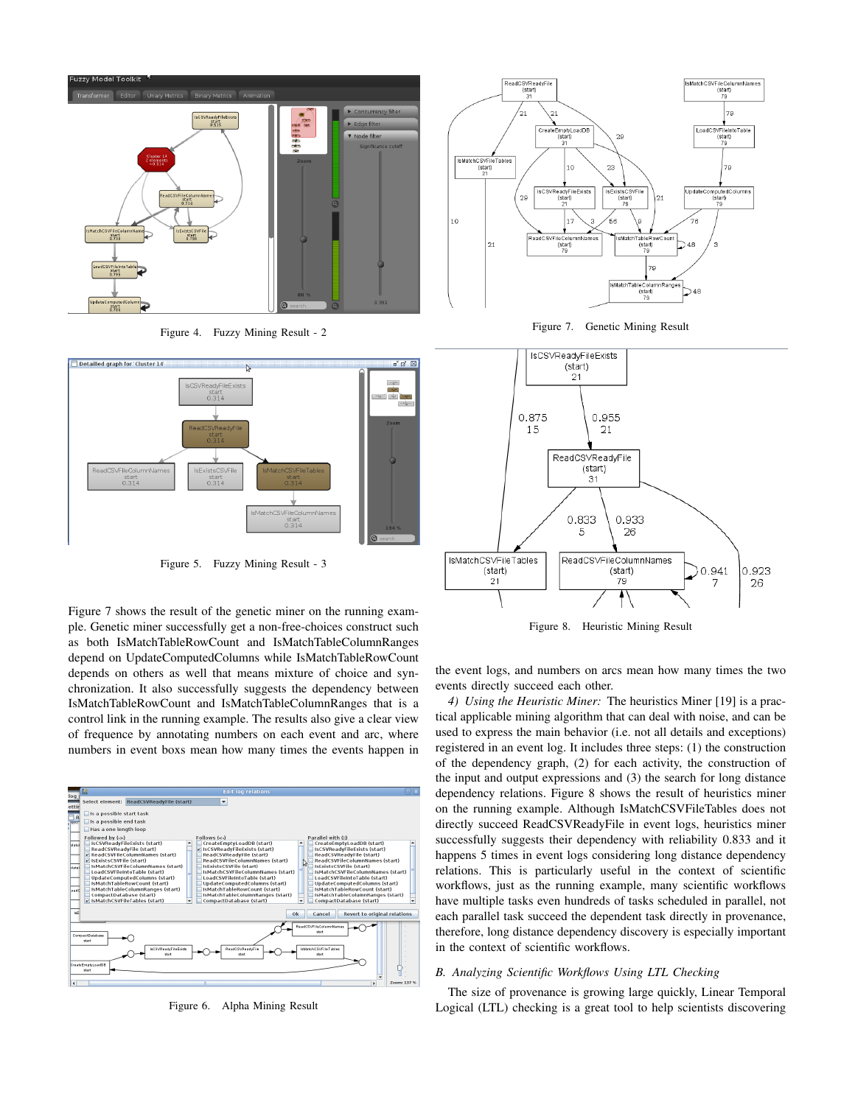

Figure 4. Fuzzy Mining Result - 2



Figure 5. Fuzzy Mining Result - 3

Figure 7 shows the result of the genetic miner on the running example. Genetic miner successfully get a non-free-choices construct such as both IsMatchTableRowCount and IsMatchTableColumnRanges depend on UpdateComputedColumns while IsMatchTableRowCount depends on others as well that means mixture of choice and synchronization. It also successfully suggests the dependency between IsMatchTableRowCount and IsMatchTableColumnRanges that is a control link in the running example. The results also give a clear view of frequence by annotating numbers on each event and arc, where numbers in event boxs mean how many times the events happen in



Figure 6. Alpha Mining Result







Figure 8. Heuristic Mining Result

the event logs, and numbers on arcs mean how many times the two events directly succeed each other.

*4) Using the Heuristic Miner:* The heuristics Miner [19] is a practical applicable mining algorithm that can deal with noise, and can be used to express the main behavior (i.e. not all details and exceptions) registered in an event log. It includes three steps: (1) the construction of the dependency graph, (2) for each activity, the construction of the input and output expressions and (3) the search for long distance dependency relations. Figure 8 shows the result of heuristics miner on the running example. Although IsMatchCSVFileTables does not directly succeed ReadCSVReadyFile in event logs, heuristics miner successfully suggests their dependency with reliability 0.833 and it happens 5 times in event logs considering long distance dependency relations. This is particularly useful in the context of scientific workflows, just as the running example, many scientific workflows have multiple tasks even hundreds of tasks scheduled in parallel, not each parallel task succeed the dependent task directly in provenance, therefore, long distance dependency discovery is especially important in the context of scientific workflows.

#### *B. Analyzing Scientific Workflows Using LTL Checking*

The size of provenance is growing large quickly, Linear Temporal Logical (LTL) checking is a great tool to help scientists discovering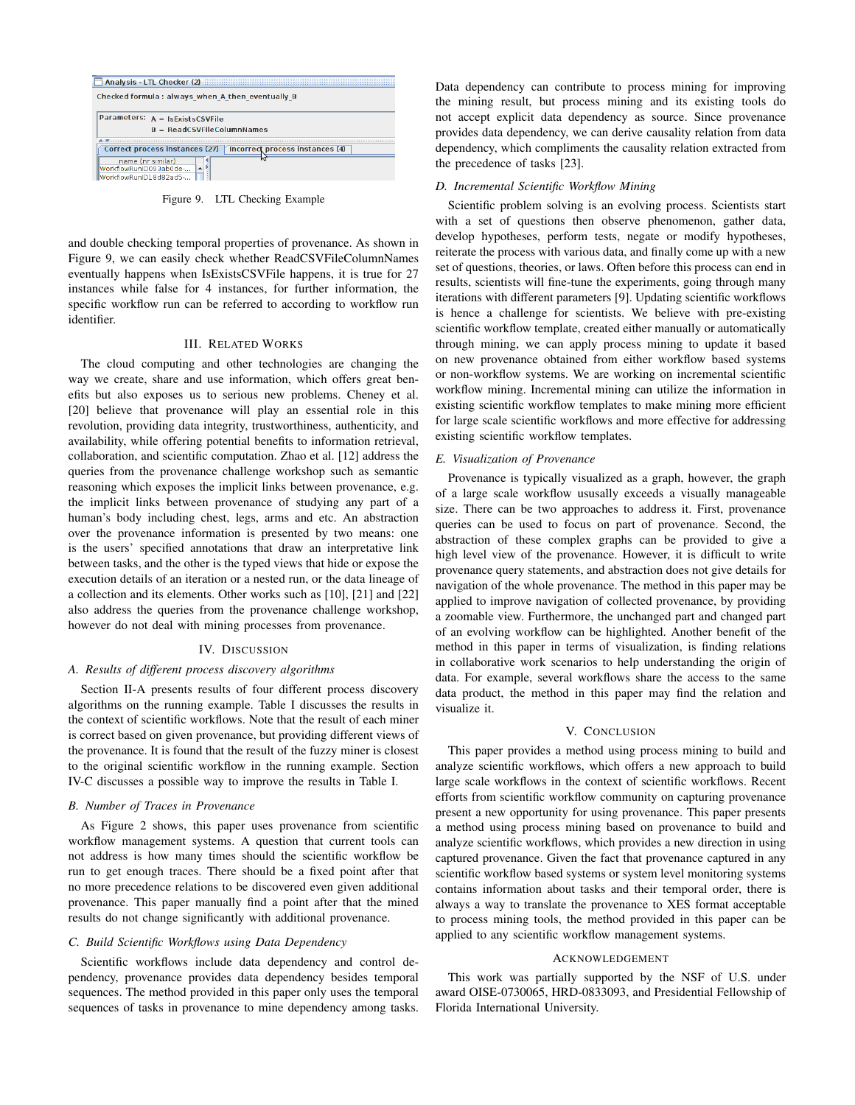| Analysis - LTL Checker (2)                                       |  |  |  |
|------------------------------------------------------------------|--|--|--|
| Checked formula: always when A then eventually B                 |  |  |  |
|                                                                  |  |  |  |
| Parameters: $A = IsExistsCSVFile$                                |  |  |  |
| $B = ReadCSVFileColumnNames$                                     |  |  |  |
|                                                                  |  |  |  |
| Correct process instances (27)   Incorrect process instances (4) |  |  |  |
| name (nr similar)<br>WorkflowRunID093ab0de-                      |  |  |  |
| WorkflowRunID18d82ad5-                                           |  |  |  |

Figure 9. LTL Checking Example

and double checking temporal properties of provenance. As shown in Figure 9, we can easily check whether ReadCSVFileColumnNames eventually happens when IsExistsCSVFile happens, it is true for 27 instances while false for 4 instances, for further information, the specific workflow run can be referred to according to workflow run identifier.

## III. RELATED WORKS

The cloud computing and other technologies are changing the way we create, share and use information, which offers great benefits but also exposes us to serious new problems. Cheney et al. [20] believe that provenance will play an essential role in this revolution, providing data integrity, trustworthiness, authenticity, and availability, while offering potential benefits to information retrieval, collaboration, and scientific computation. Zhao et al. [12] address the queries from the provenance challenge workshop such as semantic reasoning which exposes the implicit links between provenance, e.g. the implicit links between provenance of studying any part of a human's body including chest, legs, arms and etc. An abstraction over the provenance information is presented by two means: one is the users' specified annotations that draw an interpretative link between tasks, and the other is the typed views that hide or expose the execution details of an iteration or a nested run, or the data lineage of a collection and its elements. Other works such as [10], [21] and [22] also address the queries from the provenance challenge workshop, however do not deal with mining processes from provenance.

#### IV. DISCUSSION

#### *A. Results of different process discovery algorithms*

Section II-A presents results of four different process discovery algorithms on the running example. Table I discusses the results in the context of scientific workflows. Note that the result of each miner is correct based on given provenance, but providing different views of the provenance. It is found that the result of the fuzzy miner is closest to the original scientific workflow in the running example. Section IV-C discusses a possible way to improve the results in Table I.

### *B. Number of Traces in Provenance*

As Figure 2 shows, this paper uses provenance from scientific workflow management systems. A question that current tools can not address is how many times should the scientific workflow be run to get enough traces. There should be a fixed point after that no more precedence relations to be discovered even given additional provenance. This paper manually find a point after that the mined results do not change significantly with additional provenance.

#### *C. Build Scientific Workflows using Data Dependency*

Scientific workflows include data dependency and control dependency, provenance provides data dependency besides temporal sequences. The method provided in this paper only uses the temporal sequences of tasks in provenance to mine dependency among tasks. Data dependency can contribute to process mining for improving the mining result, but process mining and its existing tools do not accept explicit data dependency as source. Since provenance provides data dependency, we can derive causality relation from data dependency, which compliments the causality relation extracted from the precedence of tasks [23].

#### *D. Incremental Scientific Workflow Mining*

Scientific problem solving is an evolving process. Scientists start with a set of questions then observe phenomenon, gather data, develop hypotheses, perform tests, negate or modify hypotheses, reiterate the process with various data, and finally come up with a new set of questions, theories, or laws. Often before this process can end in results, scientists will fine-tune the experiments, going through many iterations with different parameters [9]. Updating scientific workflows is hence a challenge for scientists. We believe with pre-existing scientific workflow template, created either manually or automatically through mining, we can apply process mining to update it based on new provenance obtained from either workflow based systems or non-workflow systems. We are working on incremental scientific workflow mining. Incremental mining can utilize the information in existing scientific workflow templates to make mining more efficient for large scale scientific workflows and more effective for addressing existing scientific workflow templates.

#### *E. Visualization of Provenance*

Provenance is typically visualized as a graph, however, the graph of a large scale workflow ususally exceeds a visually manageable size. There can be two approaches to address it. First, provenance queries can be used to focus on part of provenance. Second, the abstraction of these complex graphs can be provided to give a high level view of the provenance. However, it is difficult to write provenance query statements, and abstraction does not give details for navigation of the whole provenance. The method in this paper may be applied to improve navigation of collected provenance, by providing a zoomable view. Furthermore, the unchanged part and changed part of an evolving workflow can be highlighted. Another benefit of the method in this paper in terms of visualization, is finding relations in collaborative work scenarios to help understanding the origin of data. For example, several workflows share the access to the same data product, the method in this paper may find the relation and visualize it.

#### V. CONCLUSION

This paper provides a method using process mining to build and analyze scientific workflows, which offers a new approach to build large scale workflows in the context of scientific workflows. Recent efforts from scientific workflow community on capturing provenance present a new opportunity for using provenance. This paper presents a method using process mining based on provenance to build and analyze scientific workflows, which provides a new direction in using captured provenance. Given the fact that provenance captured in any scientific workflow based systems or system level monitoring systems contains information about tasks and their temporal order, there is always a way to translate the provenance to XES format acceptable to process mining tools, the method provided in this paper can be applied to any scientific workflow management systems.

# ACKNOWLEDGEMENT

This work was partially supported by the NSF of U.S. under award OISE-0730065, HRD-0833093, and Presidential Fellowship of Florida International University.